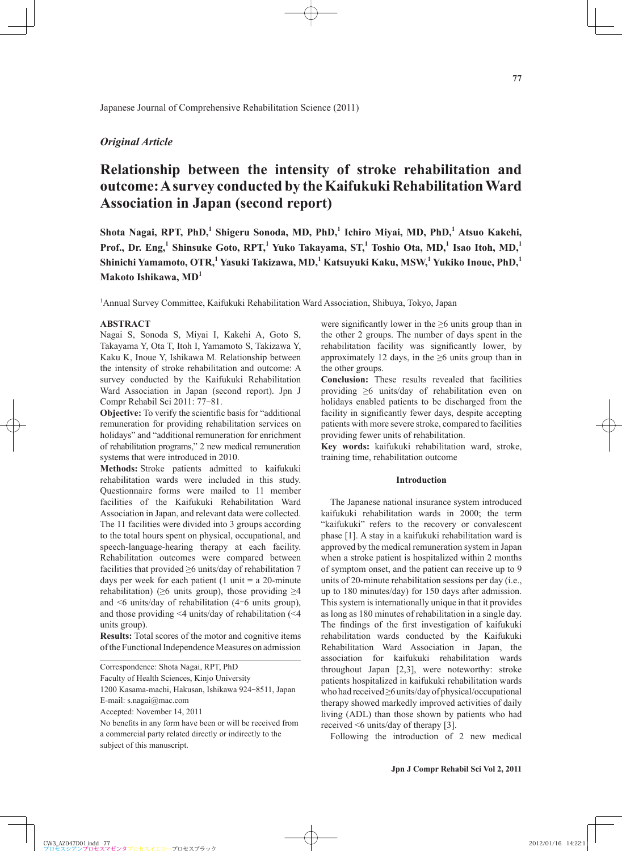# *Original Article*

# **Relationship between the intensity of stroke rehabilitation and outcome: A survey conducted by the Kaifukuki Rehabilitation Ward Association in Japan (second report)**

Shota Nagai, RPT, PhD,<sup>1</sup> Shigeru Sonoda, MD, PhD,<sup>1</sup> Ichiro Miyai, MD, PhD,<sup>1</sup> Atsuo Kakehi, Prof., Dr. Eng,<sup>1</sup> Shinsuke Goto, RPT,<sup>1</sup> Yuko Takayama, ST,<sup>1</sup> Toshio Ota, MD,<sup>1</sup> Isao Itoh, MD,<sup>1</sup> **Shinichi Yamamoto, OTR,<sup>1</sup> Yasuki Takizawa, MD,<sup>1</sup> Katsuyuki Kaku, MSW,<sup>1</sup> Yukiko Inoue, PhD,<sup>1</sup> Makoto Ishikawa, MD<sup>1</sup>**

1 Annual Survey Committee, Kaifukuki Rehabilitation Ward Association, Shibuya, Tokyo, Japan

#### **ABSTRACT**

Nagai S, Sonoda S, Miyai I, Kakehi A, Goto S, Takayama Y, Ota T, Itoh I, Yamamoto S, Takizawa Y, Kaku K, Inoue Y, Ishikawa M. Relationship between the intensity of stroke rehabilitation and outcome: A survey conducted by the Kaifukuki Rehabilitation Ward Association in Japan (second report). Jpn J Compr Rehabil Sci 2011: 77-81.

**Objective:** To verify the scientific basis for "additional remuneration for providing rehabilitation services on holidays" and "additional remuneration for enrichment of rehabilitation programs," 2 new medical remuneration systems that were introduced in 2010.

**Methods:** Stroke patients admitted to kaifukuki rehabilitation wards were included in this study. Questionnaire forms were mailed to 11 member facilities of the Kaifukuki Rehabilitation Ward Association in Japan, and relevant data were collected. The 11 facilities were divided into 3 groups according to the total hours spent on physical, occupational, and speech-language-hearing therapy at each facility. Rehabilitation outcomes were compared between facilities that provided ≥6 units/day of rehabilitation 7 days per week for each patient (1 unit  $= a 20$ -minute rehabilitation) ( $\geq 6$  units group), those providing  $\geq 4$ and  $\leq 6$  units/day of rehabilitation (4–6 units group), and those providing <4 units/day of rehabilitation (<4 units group).

**Results:** Total scores of the motor and cognitive items of the Functional Independence Measures on admission

Correspondence: Shota Nagai, RPT, PhD

Faculty of Health Sciences, Kinjo University

1200 Kasama-machi, Hakusan, Ishikawa 924-8511, Japan E-mail: s.nagai@mac.com

Accepted: November 14, 2011

No benefits in any form have been or will be received from a commercial party related directly or indirectly to the subject of this manuscript.

were significantly lower in the  $\geq 6$  units group than in the other 2 groups. The number of days spent in the rehabilitation facility was significantly lower, by approximately 12 days, in the  $\geq 6$  units group than in the other groups.

**Conclusion:** These results revealed that facilities providing ≥6 units/day of rehabilitation even on holidays enabled patients to be discharged from the facility in significantly fewer days, despite accepting patients with more severe stroke, compared to facilities providing fewer units of rehabilitation.

**Key words:** kaifukuki rehabilitation ward, stroke, training time, rehabilitation outcome

### **Introduction**

The Japanese national insurance system introduced kaifukuki rehabilitation wards in 2000; the term "kaifukuki" refers to the recovery or convalescent phase [1]. A stay in a kaifukuki rehabilitation ward is approved by the medical remuneration system in Japan when a stroke patient is hospitalized within 2 months of symptom onset, and the patient can receive up to 9 units of 20-minute rehabilitation sessions per day (i.e., up to 180 minutes/day) for 150 days after admission. This system is internationally unique in that it provides as long as 180 minutes of rehabilitation in a single day. The findings of the first investigation of kaifukuki rehabilitation wards conducted by the Kaifukuki Rehabilitation Ward Association in Japan, the association for kaifukuki rehabilitation wards throughout Japan [2,3], were noteworthy: stroke patients hospitalized in kaifukuki rehabilitation wards who had received ≥6 units/day of physical/occupational therapy showed markedly improved activities of daily living (ADL) than those shown by patients who had received <6 units/day of therapy [3].

Following the introduction of 2 new medical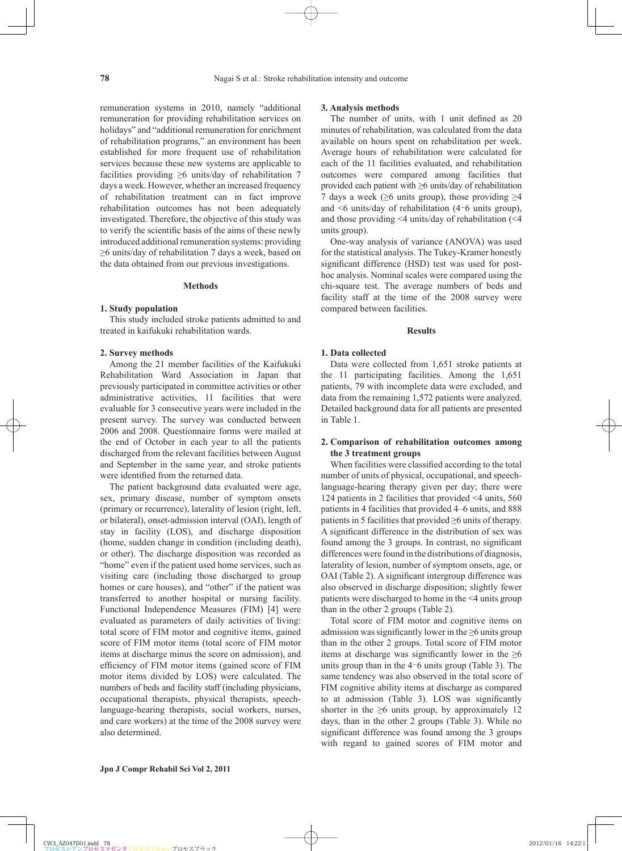remuneration systems in 2010, namely "additional remuneration for providing rehabilitation services on holidays" and "additional remuneration for enrichment of rehabilitation programs," an environment has been established for more frequent use of rehabilitation services because these new systems are applicable to facilities providing  $\geq 6$  units/day of rehabilitation 7 days a week. However, whether an increased frequency of rehabilitation treatment can in fact improve rehabilitation outcomes has not been adequately investigated. Therefore, the objective of this study was to verify the scientific basis of the aims of these newly introduced additional remuneration systems: providing ≥6 units/day of rehabilitation 7 days a week, based on the data obtained from our previous investigations.

#### **Methods**

#### **1. Study population**

This study included stroke patients admitted to and treated in kaifukuki rehabilitation wards.

### **2. Survey methods**

Among the 21 member facilities of the Kaifukuki Rehabilitation Ward Association in Japan that previously participated in committee activities or other administrative activities, 11 facilities that were evaluable for 3 consecutive years were included in the present survey. The survey was conducted between 2006 and 2008. Questionnaire forms were mailed at the end of October in each year to all the patients discharged from the relevant facilities between August and September in the same year, and stroke patients were identified from the returned data.

The patient background data evaluated were age, sex, primary disease, number of symptom onsets (primary or recurrence), laterality of lesion (right, left, or bilateral), onset-admission interval (OAI), length of stay in facility (LOS), and discharge disposition (home, sudden change in condition (including death), or other). The discharge disposition was recorded as "home" even if the patient used home services, such as visiting care (including those discharged to group homes or care houses), and "other" if the patient was transferred to another hospital or nursing facility. Functional Independence Measures (FIM) [4] were evaluated as parameters of daily activities of living: total score of FIM motor and cognitive items, gained score of FIM motor items (total score of FIM motor items at discharge minus the score on admission), and efficiency of FIM motor items (gained score of FIM motor items divided by LOS) were calculated. The numbers of beds and facility staff (including physicians, occupational therapists, physical therapists, speechlanguage-hearing therapists, social workers, nurses, and care workers) at the time of the 2008 survey were also determined.

The number of units, with  $1$  unit defined as  $20$ minutes of rehabilitation, was calculated from the data available on hours spent on rehabilitation per week. Average hours of rehabilitation were calculated for each of the 11 facilities evaluated, and rehabilitation outcomes were compared among facilities that provided each patient with ≥6 units/day of rehabilitation 7 days a week ( $\geq 6$  units group), those providing  $\geq 4$ and  $\leq 6$  units/day of rehabilitation (4–6 units group), and those providing <4 units/day of rehabilitation (<4 units group).

One-way analysis of variance (ANOVA) was used for the statistical analysis. The Tukey-Kramer honestly significant difference (HSD) test was used for posthoc analysis. Nominal scales were compared using the chi-square test. The average numbers of beds and facility staff at the time of the 2008 survey were compared between facilities.

#### **Results**

## **1. Data collected**

Data were collected from 1,651 stroke patients at the 11 participating facilities. Among the 1,651 patients, 79 with incomplete data were excluded, and data from the remaining 1,572 patients were analyzed. Detailed background data for all patients are presented in Table 1.

### **2. Comparison of rehabilitation outcomes among the 3 treatment groups**

When facilities were classified according to the total number of units of physical, occupational, and speechlanguage-hearing therapy given per day; there were 124 patients in 2 facilities that provided <4 units, 560 patients in 4 facilities that provided 4–6 units, and 888 patients in 5 facilities that provided  $\geq 6$  units of therapy. A significant difference in the distribution of sex was found among the 3 groups. In contrast, no significant differences were found in the distributions of diagnosis, laterality of lesion, number of symptom onsets, age, or OAI (Table 2). A significant intergroup difference was also observed in discharge disposition; slightly fewer patients were discharged to home in the <4 units group than in the other 2 groups (Table 2).

Total score of FIM motor and cognitive items on admission was significantly lower in the  $\geq 6$  units group than in the other 2 groups. Total score of FIM motor items at discharge was significantly lower in the  $\geq 6$ units group than in the  $4-6$  units group (Table 3). The same tendency was also observed in the total score of FIM cognitive ability items at discharge as compared to at admission (Table 3). LOS was significantly shorter in the  $\geq 6$  units group, by approximately 12 days, than in the other 2 groups (Table 3). While no significant difference was found among the 3 groups with regard to gained scores of FIM motor and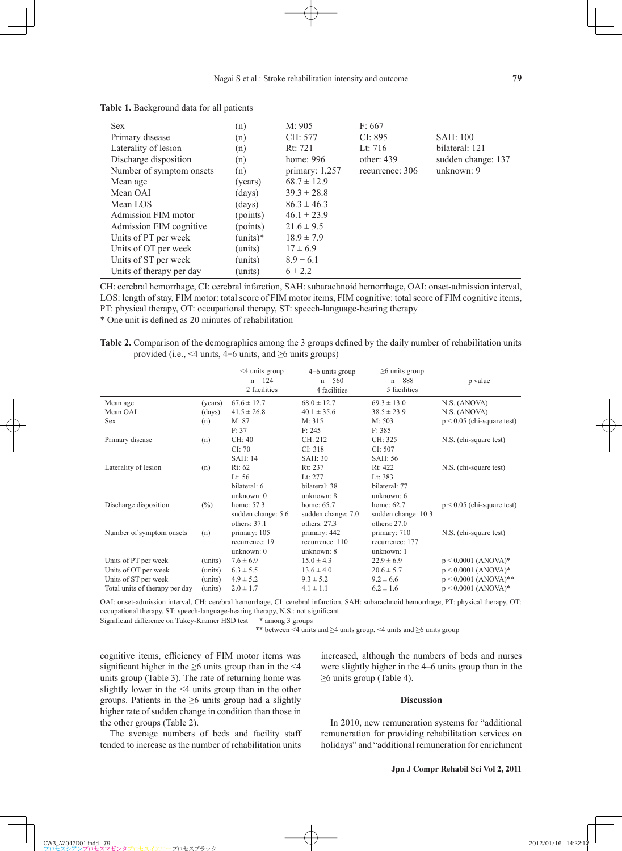| <b>Sex</b>               | (n)              | M: 905           | F: 667          |                    |
|--------------------------|------------------|------------------|-----------------|--------------------|
| Primary disease          | (n)              | CH: 577          | CI: 895         | SAH:100            |
| Laterality of lesion     | (n)              | Rt: 721          | Lt: $716$       | bilateral: 121     |
| Discharge disposition    | (n)              | home: 996        | other: $439$    | sudden change: 137 |
| Number of symptom onsets | (n)              | primary: $1,257$ | recurrence: 306 | unknown: $9$       |
| Mean age                 | (years)          | $68.7 \pm 12.9$  |                 |                    |
| Mean OAI                 | $\frac{days}{9}$ | $39.3 \pm 28.8$  |                 |                    |
| Mean LOS                 | (days)           | $86.3 \pm 46.3$  |                 |                    |
| Admission FIM motor      | (points)         | $46.1 \pm 23.9$  |                 |                    |
| Admission FIM cognitive  | (points)         | $21.6 \pm 9.5$   |                 |                    |
| Units of PT per week     | $(units)*$       | $18.9 \pm 7.9$   |                 |                    |
| Units of OT per week     | units)           | $17 \pm 6.9$     |                 |                    |
| Units of ST per week     | units)           | $8.9 \pm 6.1$    |                 |                    |
| Units of therapy per day | units)           | $6 \pm 2.2$      |                 |                    |

**Table 1.** Background data for all patients

CH: cerebral hemorrhage, CI: cerebral infarction, SAH: subarachnoid hemorrhage, OAI: onset-admission interval, LOS: length of stay, FIM motor: total score of FIM motor items, FIM cognitive: total score of FIM cognitive items, PT: physical therapy, OT: occupational therapy, ST: speech-language-hearing therapy

\* One unit is defi ned as 20 minutes of rehabilitation

**Table 2.** Comparison of the demographics among the 3 groups defined by the daily number of rehabilitation units provided (i.e., <4 units, 4-6 units, and ≥6 units groups)

|                                |         | $\leq$ 4 units group<br>$n = 124$<br>2 facilities | $4-6$ units group<br>$n = 560$<br>4 facilities | $\geq$ 6 units group<br>$n = 888$<br>5 facilities | p value                      |  |
|--------------------------------|---------|---------------------------------------------------|------------------------------------------------|---------------------------------------------------|------------------------------|--|
| Mean age                       | (years) | $67.6 \pm 12.7$                                   | $68.0 \pm 12.7$                                | $69.3 \pm 13.0$                                   | N.S. (ANOVA)                 |  |
| Mean OAI                       | (days)  | $41.5 \pm 26.8$                                   | $40.1 \pm 35.6$                                | $38.5 \pm 23.9$                                   | N.S. (ANOVA)                 |  |
| <b>Sex</b>                     | (n)     | M: 87                                             | M: 315                                         | M: 503                                            | $p < 0.05$ (chi-square test) |  |
|                                |         | F: 37                                             | F: 245                                         | F: 385                                            |                              |  |
| Primary disease                | (n)     | CH: 40                                            | CH: 212                                        | CH: 325                                           | N.S. (chi-square test)       |  |
|                                |         | CI: 70                                            | CI: 318                                        | CI: 507                                           |                              |  |
|                                |         | SAH:14                                            | SAH: 30                                        | SAH: 56                                           |                              |  |
| Laterality of lesion           | (n)     | Rt: 62                                            | Rt: 237                                        | Rt: 422                                           | N.S. (chi-square test)       |  |
|                                |         | Lt: $56$                                          | Lt: $277$                                      | Lt: $383$                                         |                              |  |
|                                |         | bilateral: 6                                      | bilateral: 38                                  | bilateral: 77                                     |                              |  |
|                                |         | unknown: $0$                                      | unknown: $8$                                   | unknown: $6$                                      |                              |  |
| Discharge disposition          | $(\%)$  | home: 57.3                                        | home: $65.7$                                   | home: 62.7                                        | $p < 0.05$ (chi-square test) |  |
|                                |         | sudden change: 5.6                                | sudden change: 7.0                             | sudden change: 10.3                               |                              |  |
|                                |         | others: $371$                                     | others: $27.3$                                 | others: $27.0$                                    |                              |  |
| Number of symptom onsets       | (n)     | primary: 105                                      | primary: 442                                   | primary: 710                                      | N.S. (chi-square test)       |  |
|                                |         | recurrence: 19                                    | recurrence: 110                                | recurrence: 177                                   |                              |  |
|                                |         | unknown: $0$                                      | unknown: $8$                                   | unknown: 1                                        |                              |  |
| Units of PT per week           | (units) | $7.6 \pm 6.9$                                     | $15.0 \pm 4.3$                                 | $22.9 \pm 6.9$                                    | $p < 0.0001$ (ANOVA)*        |  |
| Units of OT per week           | (units) | $6.3 \pm 5.5$                                     | $13.6 \pm 4.0$                                 | $20.6 \pm 5.7$                                    | $p < 0.0001$ (ANOVA)*        |  |
| Units of ST per week           | (units) | $4.9 \pm 5.2$                                     | $9.3 \pm 5.2$                                  | $9.2 \pm 6.6$                                     | $p < 0.0001$ (ANOVA)**       |  |
| Total units of therapy per day | (units) | $2.0 \pm 1.7$                                     | $4.1 \pm 1.1$                                  | $6.2 \pm 1.6$                                     | $p < 0.0001$ (ANOVA)*        |  |
|                                |         |                                                   |                                                |                                                   |                              |  |

OAI: onset-admission interval, CH: cerebral hemorrhage, CI: cerebral infarction, SAH: subarachnoid hemorrhage, PT: physical therapy, OT: occupational therapy, ST: speech-language-hearing therapy, N.S.: not significant

Significant difference on Tukey-Kramer HSD test \* among 3 groups

\*\* between <4 units and ≥4 units group, <4 units and ≥6 units group

cognitive items, efficiency of FIM motor items was significant higher in the  $\geq 6$  units group than in the <4 units group (Table 3). The rate of returning home was slightly lower in the <4 units group than in the other groups. Patients in the  $\geq 6$  units group had a slightly higher rate of sudden change in condition than those in the other groups (Table 2).

The average numbers of beds and facility staff tended to increase as the number of rehabilitation units increased, although the numbers of beds and nurses were slightly higher in the 4–6 units group than in the  $\geq$ 6 units group (Table 4).

# **Discussion**

In 2010, new remuneration systems for "additional remuneration for providing rehabilitation services on holidays" and "additional remuneration for enrichment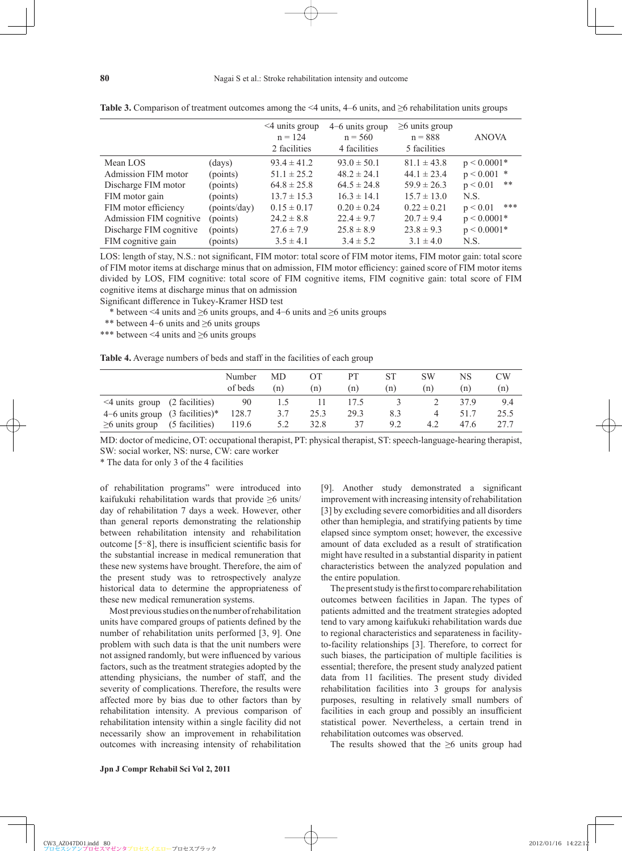|                         |              | $\leq$ 4 units group<br>$n = 124$<br>2 facilities | $4-6$ units group<br>$n = 560$<br>4 facilities | $\geq$ 6 units group<br>$n = 888$<br>5 facilities | <b>ANOVA</b>    |
|-------------------------|--------------|---------------------------------------------------|------------------------------------------------|---------------------------------------------------|-----------------|
| Mean LOS                | (days)       | $93.4 \pm 41.2$                                   | $93.0 \pm 50.1$                                | $81.1 \pm 43.8$                                   | $p < 0.0001*$   |
| Admission FIM motor     | (points)     | $51.1 \pm 25.2$                                   | $48.2 \pm 24.1$                                | $44.1 \pm 23.4$                                   | $p < 0.001$ *   |
| Discharge FIM motor     | (points)     | $64.8 \pm 25.8$                                   | $64.5 \pm 24.8$                                | $59.9 \pm 26.3$                                   | **<br>p < 0.01  |
| FIM motor gain          | (points)     | $13.7 \pm 15.3$                                   | $16.3 \pm 14.1$                                | $15.7 \pm 13.0$                                   | N.S.            |
| FIM motor efficiency    | (points/day) | $0.15 \pm 0.17$                                   | $0.20 \pm 0.24$                                | $0.22 \pm 0.21$                                   | ***<br>p < 0.01 |
| Admission FIM cognitive | (points)     | $24.2 \pm 8.8$                                    | $22.4 \pm 9.7$                                 | $20.7 \pm 9.4$                                    | $p < 0.0001*$   |
| Discharge FIM cognitive | (points)     | $27.6 \pm 7.9$                                    | $25.8 \pm 8.9$                                 | $23.8 \pm 9.3$                                    | $p < 0.0001*$   |
| FIM cognitive gain      | (points)     | $3.5 \pm 4.1$                                     | $3.4 \pm 5.2$                                  | $3.1 \pm 4.0$                                     | N.S.            |

**Table 3.** Comparison of treatment outcomes among the  $\leq 4$  units,  $4-6$  units, and  $\geq 6$  rehabilitation units groups

LOS: length of stay, N.S.: not significant, FIM motor: total score of FIM motor items, FIM motor gain: total score of FIM motor items at discharge minus that on admission, FIM motor efficiency: gained score of FIM motor items divided by LOS, FIM cognitive: total score of FIM cognitive items, FIM cognitive gain: total score of FIM cognitive items at discharge minus that on admission

Significant difference in Tukey-Kramer HSD test

\* between <4 units and  $\geq$ 6 units groups, and 4-6 units and  $\geq$ 6 units groups

- \*\* between 4-6 units and ≥6 units groups
- \*\*\* between <4 units and ≥6 units groups

**Table 4.** Average numbers of beds and staff in the facilities of each group

|                                     |                | Number<br>of beds | MD<br>(n) | (n)  | PТ<br>(n) | <b>ST</b><br>(n) | <b>SW</b><br>(n) | NS<br>n) | CW<br>(n) |
|-------------------------------------|----------------|-------------------|-----------|------|-----------|------------------|------------------|----------|-----------|
| $\leq$ 4 units group (2 facilities) |                | 90                | L.5       |      | 17.5      |                  |                  | 37 9     | 9.4       |
| $4-6$ units group $(3$ facilities)* |                | 128.7             | 3.7       | 25.3 | 29.3      | 8.3              |                  | 517      | 25.5      |
| $\geq$ 6 units group                | (5 facilities) | 119.6             | 5.2       | 32.8 | 37        | 9.2              | 4.2              | 47.6     | 27.7      |

MD: doctor of medicine, OT: occupational therapist, PT: physical therapist, ST: speech-language-hearing therapist, SW: social worker, NS: nurse, CW: care worker

\* The data for only 3 of the 4 facilities

of rehabilitation programs" were introduced into kaifukuki rehabilitation wards that provide ≥6 units/ day of rehabilitation 7 days a week. However, other than general reports demonstrating the relationship between rehabilitation intensity and rehabilitation outcome  $[5-8]$ , there is insufficient scientific basis for the substantial increase in medical remuneration that these new systems have brought. Therefore, the aim of the present study was to retrospectively analyze historical data to determine the appropriateness of these new medical remuneration systems.

Most previous studies on the number of rehabilitation units have compared groups of patients defined by the number of rehabilitation units performed [3, 9]. One problem with such data is that the unit numbers were not assigned randomly, but were influenced by various factors, such as the treatment strategies adopted by the attending physicians, the number of staff, and the severity of complications. Therefore, the results were affected more by bias due to other factors than by rehabilitation intensity. A previous comparison of rehabilitation intensity within a single facility did not necessarily show an improvement in rehabilitation outcomes with increasing intensity of rehabilitation [9]. Another study demonstrated a significant improvement with increasing intensity of rehabilitation [3] by excluding severe comorbidities and all disorders other than hemiplegia, and stratifying patients by time elapsed since symptom onset; however, the excessive amount of data excluded as a result of stratification might have resulted in a substantial disparity in patient characteristics between the analyzed population and the entire population.

The present study is the first to compare rehabilitation outcomes between facilities in Japan. The types of patients admitted and the treatment strategies adopted tend to vary among kaifukuki rehabilitation wards due to regional characteristics and separateness in facilityto-facility relationships [3]. Therefore, to correct for such biases, the participation of multiple facilities is essential; therefore, the present study analyzed patient data from 11 facilities. The present study divided rehabilitation facilities into 3 groups for analysis purposes, resulting in relatively small numbers of facilities in each group and possibly an insufficient statistical power. Nevertheless, a certain trend in rehabilitation outcomes was observed.

The results showed that the  $\geq 6$  units group had